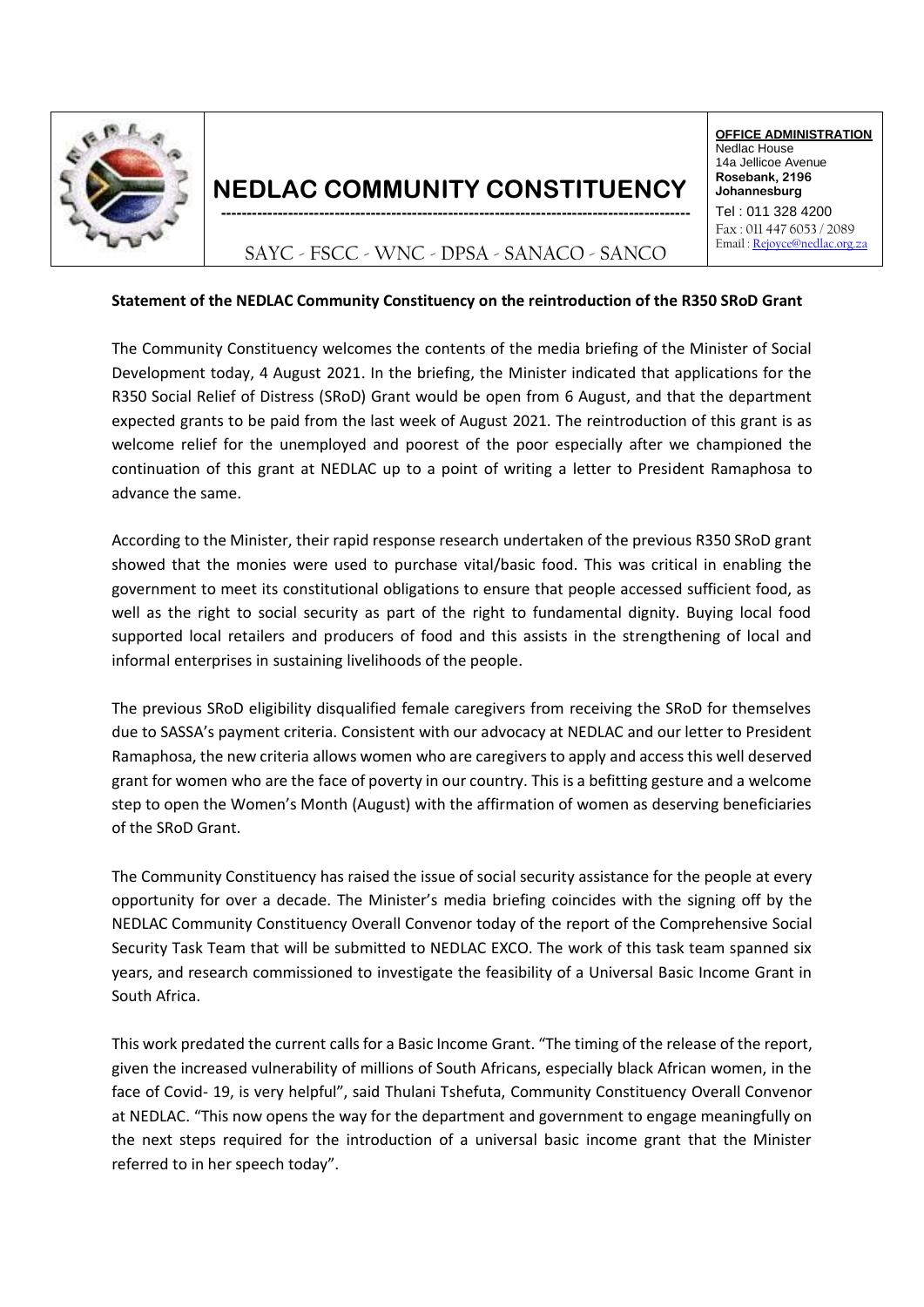

## **NEDLAC COMMUNITY CONSTITUENCY** Solebank, 2196

**OFFICE ADMINISTRATION** Nedlac House 14a Jellicoe Avenue **Johannesburg**  $Tel: 011 328 4200$ 

Fax : 011 447 6053 / 2089 Email [: Rejoyce@nedlac.org.za](mailto:Rejoyce@nedlac.org.za)

SAYC - FSCC - WNC - DPSA - SANACO - SANCO

## **Statement of the NEDLAC Community Constituency on the reintroduction of the R350 SRoD Grant**

The Community Constituency welcomes the contents of the media briefing of the Minister of Social Development today, 4 August 2021. In the briefing, the Minister indicated that applications for the R350 Social Relief of Distress (SRoD) Grant would be open from 6 August, and that the department expected grants to be paid from the last week of August 2021. The reintroduction of this grant is as welcome relief for the unemployed and poorest of the poor especially after we championed the continuation of this grant at NEDLAC up to a point of writing a letter to President Ramaphosa to advance the same.

According to the Minister, their rapid response research undertaken of the previous R350 SRoD grant showed that the monies were used to purchase vital/basic food. This was critical in enabling the government to meet its constitutional obligations to ensure that people accessed sufficient food, as well as the right to social security as part of the right to fundamental dignity. Buying local food supported local retailers and producers of food and this assists in the strengthening of local and informal enterprises in sustaining livelihoods of the people.

The previous SRoD eligibility disqualified female caregivers from receiving the SRoD for themselves due to SASSA's payment criteria. Consistent with our advocacy at NEDLAC and our letter to President Ramaphosa, the new criteria allows women who are caregivers to apply and access this well deserved grant for women who are the face of poverty in our country. This is a befitting gesture and a welcome step to open the Women's Month (August) with the affirmation of women as deserving beneficiaries of the SRoD Grant.

The Community Constituency has raised the issue of social security assistance for the people at every opportunity for over a decade. The Minister's media briefing coincides with the signing off by the NEDLAC Community Constituency Overall Convenor today of the report of the Comprehensive Social Security Task Team that will be submitted to NEDLAC EXCO. The work of this task team spanned six years, and research commissioned to investigate the feasibility of a Universal Basic Income Grant in South Africa.

This work predated the current calls for a Basic Income Grant. "The timing of the release of the report, given the increased vulnerability of millions of South Africans, especially black African women, in the face of Covid- 19, is very helpful", said Thulani Tshefuta, Community Constituency Overall Convenor at NEDLAC. "This now opens the way for the department and government to engage meaningfully on the next steps required for the introduction of a universal basic income grant that the Minister referred to in her speech today".